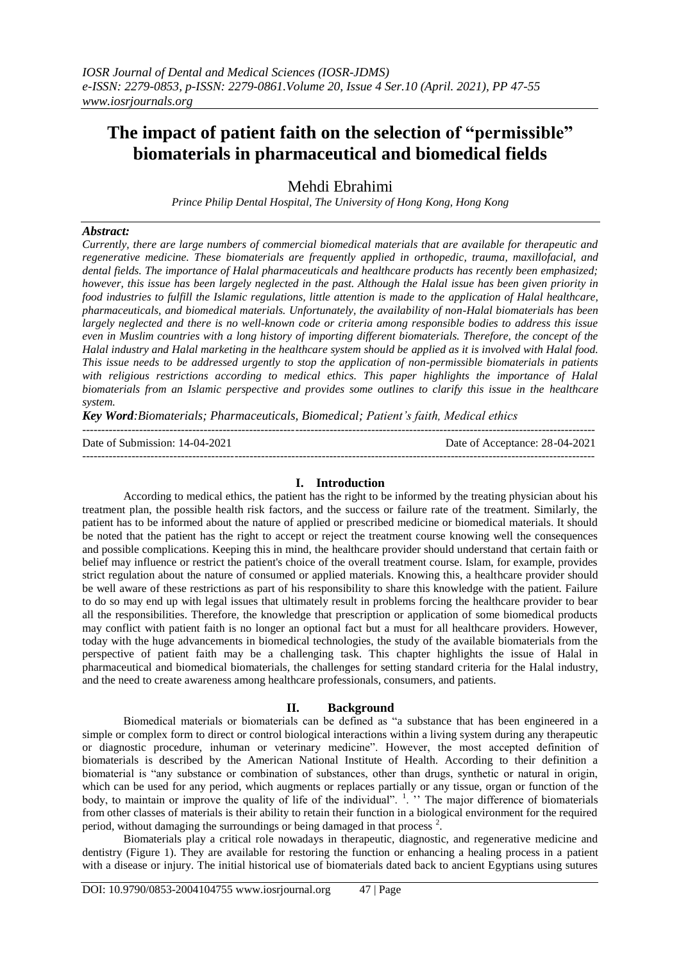# **The impact of patient faith on the selection of "permissible" biomaterials in pharmaceutical and biomedical fields**

Mehdi Ebrahimi

*Prince Philip Dental Hospital, The University of Hong Kong, Hong Kong*

## *Abstract:*

*Currently, there are large numbers of commercial biomedical materials that are available for therapeutic and regenerative medicine. These biomaterials are frequently applied in orthopedic, trauma, maxillofacial, and dental fields. The importance of Halal pharmaceuticals and healthcare products has recently been emphasized; however, this issue has been largely neglected in the past. Although the Halal issue has been given priority in food industries to fulfill the Islamic regulations, little attention is made to the application of Halal healthcare, pharmaceuticals, and biomedical materials. Unfortunately, the availability of non-Halal biomaterials has been largely neglected and there is no well-known code or criteria among responsible bodies to address this issue even in Muslim countries with a long history of importing different biomaterials. Therefore, the concept of the Halal industry and Halal marketing in the healthcare system should be applied as it is involved with Halal food. This issue needs to be addressed urgently to stop the application of non-permissible biomaterials in patients with religious restrictions according to medical ethics. This paper highlights the importance of Halal biomaterials from an Islamic perspective and provides some outlines to clarify this issue in the healthcare system.*

*Key Word:Biomaterials; Pharmaceuticals, Biomedical; Patient's faith, Medical ethics*

---------------------------------------------------------------------------------------------------------------------------------------

Date of Submission: 14-04-2021 Date of Acceptance: 28-04-2021

---------------------------------------------------------------------------------------------------------------------------------------

## **I. Introduction**

According to medical ethics, the patient has the right to be informed by the treating physician about his treatment plan, the possible health risk factors, and the success or failure rate of the treatment. Similarly, the patient has to be informed about the nature of applied or prescribed medicine or biomedical materials. It should be noted that the patient has the right to accept or reject the treatment course knowing well the consequences and possible complications. Keeping this in mind, the healthcare provider should understand that certain faith or belief may influence or restrict the patient's choice of the overall treatment course. Islam, for example, provides strict regulation about the nature of consumed or applied materials. Knowing this, a healthcare provider should be well aware of these restrictions as part of his responsibility to share this knowledge with the patient. Failure to do so may end up with legal issues that ultimately result in problems forcing the healthcare provider to bear all the responsibilities. Therefore, the knowledge that prescription or application of some biomedical products may conflict with patient faith is no longer an optional fact but a must for all healthcare providers. However, today with the huge advancements in biomedical technologies, the study of the available biomaterials from the perspective of patient faith may be a challenging task. This chapter highlights the issue of Halal in pharmaceutical and biomedical biomaterials, the challenges for setting standard criteria for the Halal industry, and the need to create awareness among healthcare professionals, consumers, and patients.

### **II. Background**

Biomedical materials or biomaterials can be defined as "a substance that has been engineered in a simple or complex form to direct or control biological interactions within a living system during any therapeutic or diagnostic procedure, inhuman or veterinary medicine". However, the most accepted definition of biomaterials is described by the American National Institute of Health. According to their definition a biomaterial is "any substance or combination of substances, other than drugs, synthetic or natural in origin, which can be used for any period, which augments or replaces partially or any tissue, organ or function of the body, to maintain or improve the quality of life of the individual".  $\cdot$  The major difference of biomaterials from other classes of materials is their ability to retain their function in a biological environment for the required period, without damaging the surroundings or being damaged in that process  $2$ .

Biomaterials play a critical role nowadays in therapeutic, diagnostic, and regenerative medicine and dentistry (Figure 1). They are available for restoring the function or enhancing a healing process in a patient with a disease or injury. The initial historical use of biomaterials dated back to ancient Egyptians using sutures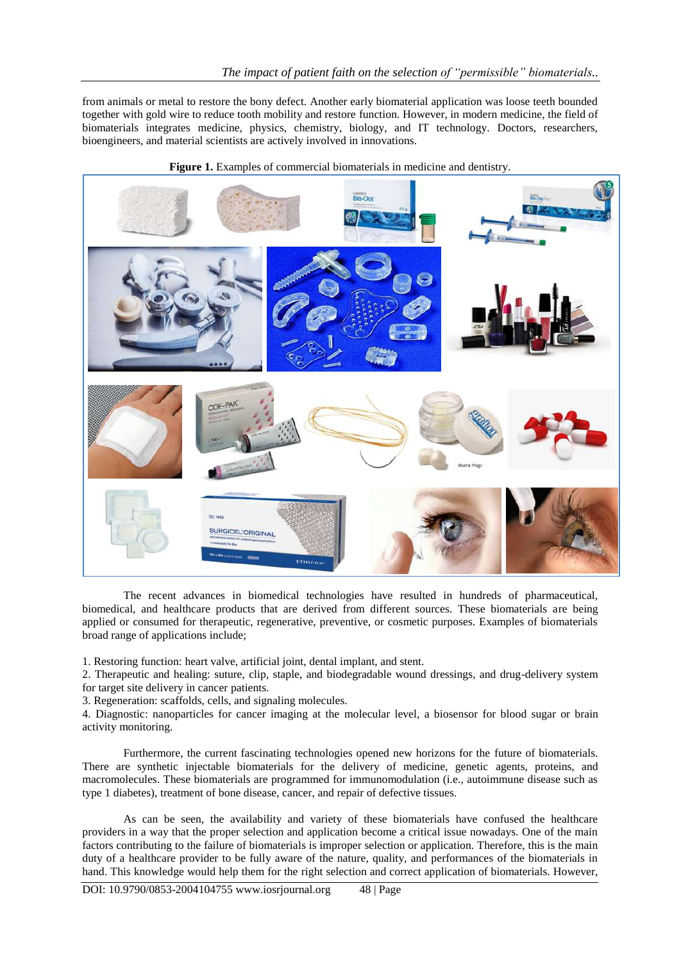from animals or metal to restore the bony defect. Another early biomaterial application was loose teeth bounded together with gold wire to reduce tooth mobility and restore function. However, in modern medicine, the field of biomaterials integrates medicine, physics, chemistry, biology, and IT technology. Doctors, researchers, bioengineers, and material scientists are actively involved in innovations.



Figure 1. Examples of commercial biomaterials in medicine and dentistry.

The recent advances in biomedical technologies have resulted in hundreds of pharmaceutical, biomedical, and healthcare products that are derived from different sources. These biomaterials are being applied or consumed for therapeutic, regenerative, preventive, or cosmetic purposes. Examples of biomaterials broad range of applications include;

1. Restoring function: heart valve, artificial joint, dental implant, and stent.

2. Therapeutic and healing: suture, clip, staple, and biodegradable wound dressings, and drug-delivery system for target site delivery in cancer patients.

3. Regeneration: scaffolds, cells, and signaling molecules.

4. Diagnostic: nanoparticles for cancer imaging at the molecular level, a biosensor for blood sugar or brain activity monitoring.

Furthermore, the current fascinating technologies opened new horizons for the future of biomaterials. There are synthetic injectable biomaterials for the delivery of medicine, genetic agents, proteins, and macromolecules. These biomaterials are programmed for immunomodulation (i.e., autoimmune disease such as type 1 diabetes), treatment of bone disease, cancer, and repair of defective tissues.

As can be seen, the availability and variety of these biomaterials have confused the healthcare providers in a way that the proper selection and application become a critical issue nowadays. One of the main factors contributing to the failure of biomaterials is improper selection or application. Therefore, this is the main duty of a healthcare provider to be fully aware of the nature, quality, and performances of the biomaterials in hand. This knowledge would help them for the right selection and correct application of biomaterials. However,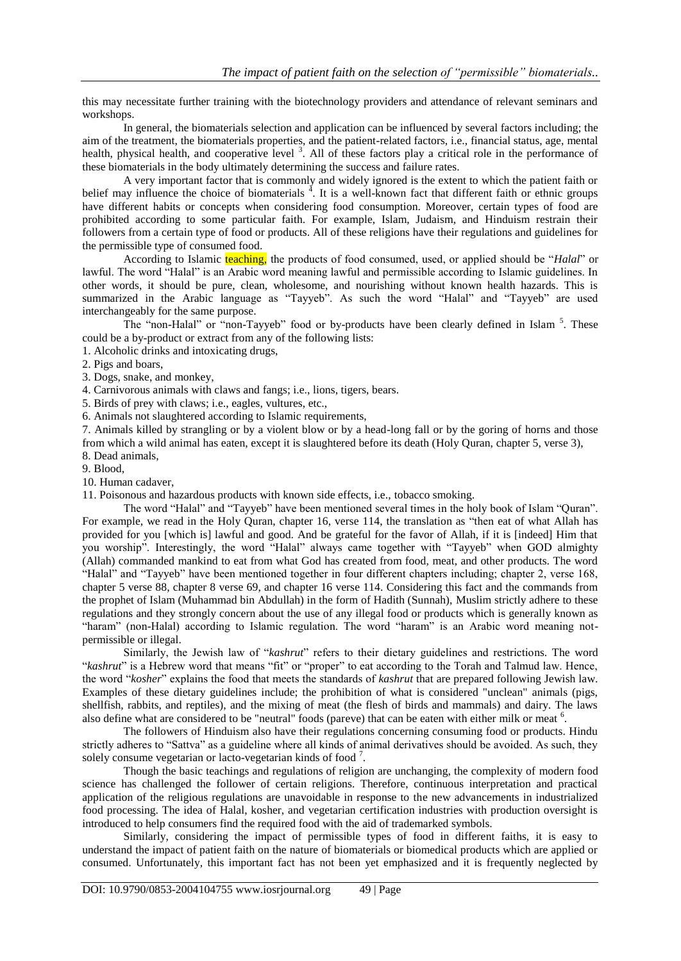this may necessitate further training with the biotechnology providers and attendance of relevant seminars and workshops.

In general, the biomaterials selection and application can be influenced by several factors including; the aim of the treatment, the biomaterials properties, and the patient-related factors, i.e., financial status, age, mental health, physical health, and cooperative level<sup>3</sup>. All of these factors play a critical role in the performance of these biomaterials in the body ultimately determining the success and failure rates.

A very important factor that is commonly and widely ignored is the extent to which the patient faith or belief may influence the choice of biomaterials <sup>4</sup>. It is a well-known fact that different faith or ethnic groups have different habits or concepts when considering food consumption. Moreover, certain types of food are prohibited according to some particular faith. For example, Islam, Judaism, and Hinduism restrain their followers from a certain type of food or products. All of these religions have their regulations and guidelines for the permissible type of consumed food.

According to Islamic teaching, the products of food consumed, used, or applied should be "*Halal*" or lawful. The word "Halal" is an Arabic word meaning lawful and permissible according to Islamic guidelines. In other words, it should be pure, clean, wholesome, and nourishing without known health hazards. This is summarized in the Arabic language as "Tayyeb". As such the word "Halal" and "Tayyeb" are used interchangeably for the same purpose.

The "non-Halal" or "non-Tayyeb" food or by-products have been clearly defined in Islam<sup>5</sup>. These could be a by-product or extract from any of the following lists:

1. Alcoholic drinks and intoxicating drugs,

2. Pigs and boars,

3. Dogs, snake, and monkey,

4. Carnivorous animals with claws and fangs; i.e., lions, tigers, bears.

5. Birds of prey with claws; i.e., eagles, vultures, etc.,

6. Animals not slaughtered according to Islamic requirements,

7. Animals killed by strangling or by a violent blow or by a head-long fall or by the goring of horns and those from which a wild animal has eaten, except it is slaughtered before its death (Holy Quran, chapter 5, verse 3), 8. Dead animals,

9. Blood,

10. Human cadaver,

11. Poisonous and hazardous products with known side effects, i.e., tobacco smoking.

The word "Halal" and "Tayyeb" have been mentioned several times in the holy book of Islam "Quran". For example, we read in the Holy Quran, chapter 16, verse 114, the translation as "then eat of what Allah has provided for you [which is] lawful and good. And be grateful for the favor of Allah, if it is [indeed] Him that you worship". Interestingly, the word "Halal" always came together with "Tayyeb" when GOD almighty (Allah) commanded mankind to eat from what God has created from food, meat, and other products. The word "Halal" and "Tayyeb" have been mentioned together in four different chapters including; chapter 2, verse 168, chapter 5 verse 88, chapter 8 verse 69, and chapter 16 verse 114. Considering this fact and the commands from the prophet of Islam (Muhammad bin Abdullah) in the form of Hadith (Sunnah), Muslim strictly adhere to these regulations and they strongly concern about the use of any illegal food or products which is generally known as "haram" (non-Halal) according to Islamic regulation. The word "haram" is an Arabic word meaning notpermissible or illegal.

Similarly, the Jewish law of "*kashrut*" refers to their dietary guidelines and restrictions. The word "*kashrut*" is a Hebrew word that means "fit" or "proper" to eat according to the Torah and Talmud law. Hence, the word "*kosher*" explains the food that meets the standards of *kashrut* that are prepared following Jewish law. Examples of these dietary guidelines include; the prohibition of what is considered "unclean" animals (pigs, shellfish, rabbits, and reptiles), and the mixing of meat (the flesh of birds and mammals) and dairy. The laws also define what are considered to be "neutral" foods (pareve) that can be eaten with either milk or meat <sup>6</sup>.

The followers of Hinduism also have their regulations concerning consuming food or products. Hindu strictly adheres to "Sattva" as a guideline where all kinds of animal derivatives should be avoided. As such, they solely consume vegetarian or lacto-vegetarian kinds of food<sup>7</sup>.

Though the basic teachings and regulations of religion are unchanging, the complexity of modern food science has challenged the follower of certain religions. Therefore, continuous interpretation and practical application of the religious regulations are unavoidable in response to the new advancements in industrialized food processing. The idea of Halal, kosher, and vegetarian certification industries with production oversight is introduced to help consumers find the required food with the aid of trademarked symbols.

Similarly, considering the impact of permissible types of food in different faiths, it is easy to understand the impact of patient faith on the nature of biomaterials or biomedical products which are applied or consumed. Unfortunately, this important fact has not been yet emphasized and it is frequently neglected by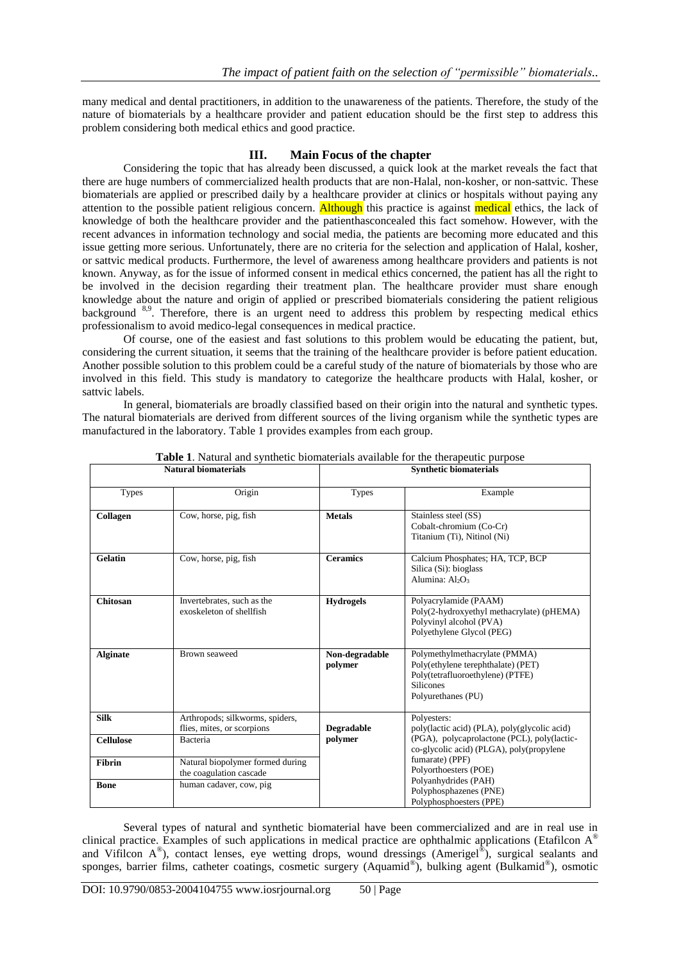many medical and dental practitioners, in addition to the unawareness of the patients. Therefore, the study of the nature of biomaterials by a healthcare provider and patient education should be the first step to address this problem considering both medical ethics and good practice.

# **III. Main Focus of the chapter**

Considering the topic that has already been discussed, a quick look at the market reveals the fact that there are huge numbers of commercialized health products that are non-Halal, non-kosher, or non-sattvic. These biomaterials are applied or prescribed daily by a healthcare provider at clinics or hospitals without paying any attention to the possible patient religious concern. Although this practice is against medical ethics, the lack of knowledge of both the healthcare provider and the patienthasconcealed this fact somehow. However, with the recent advances in information technology and social media, the patients are becoming more educated and this issue getting more serious. Unfortunately, there are no criteria for the selection and application of Halal, kosher, or sattvic medical products. Furthermore, the level of awareness among healthcare providers and patients is not known. Anyway, as for the issue of informed consent in medical ethics concerned, the patient has all the right to be involved in the decision regarding their treatment plan. The healthcare provider must share enough knowledge about the nature and origin of applied or prescribed biomaterials considering the patient religious background 8,9. Therefore, there is an urgent need to address this problem by respecting medical ethics professionalism to avoid medico-legal consequences in medical practice.

Of course, one of the easiest and fast solutions to this problem would be educating the patient, but, considering the current situation, it seems that the training of the healthcare provider is before patient education. Another possible solution to this problem could be a careful study of the nature of biomaterials by those who are involved in this field. This study is mandatory to categorize the healthcare products with Halal, kosher, or sattvic labels.

In general, biomaterials are broadly classified based on their origin into the natural and synthetic types. The natural biomaterials are derived from different sources of the living organism while the synthetic types are manufactured in the laboratory. Table 1 provides examples from each group.

| гчашат бионцатегтат. |                                                               | эунијсис отопатенат       |                                                                                                                                                   |  |
|----------------------|---------------------------------------------------------------|---------------------------|---------------------------------------------------------------------------------------------------------------------------------------------------|--|
| <b>Types</b>         | Origin                                                        | <b>Types</b>              | Example                                                                                                                                           |  |
| Collagen             | Cow, horse, pig, fish                                         | <b>Metals</b>             | Stainless steel (SS)<br>Cobalt-chromium (Co-Cr)<br>Titanium (Ti), Nitinol (Ni)                                                                    |  |
| <b>Gelatin</b>       | Cow, horse, pig, fish                                         | <b>Ceramics</b>           | Calcium Phosphates; HA, TCP, BCP<br>Silica (Si): bioglass<br>Alumina: Al <sub>2</sub> O <sub>3</sub>                                              |  |
| Chitosan             | Invertebrates, such as the<br>exoskeleton of shellfish        | <b>Hydrogels</b>          | Polyacrylamide (PAAM)<br>Poly(2-hydroxyethyl methacrylate) (pHEMA)<br>Polyvinyl alcohol (PVA)<br>Polyethylene Glycol (PEG)                        |  |
| <b>Alginate</b>      | Brown seaweed                                                 | Non-degradable<br>polymer | Polymethylmethacrylate (PMMA)<br>Poly(ethylene terephthalate) (PET)<br>Poly(tetrafluoroethylene) (PTFE)<br><b>Silicones</b><br>Polyurethanes (PU) |  |
| <b>Silk</b>          | Arthropods; silkworms, spiders,<br>flies, mites, or scorpions | <b>Degradable</b>         | Polyesters:<br>poly(lactic acid) (PLA), poly(glycolic acid)                                                                                       |  |
| <b>Cellulose</b>     | Bacteria                                                      | polymer                   | (PGA), polycaprolactone (PCL), poly(lactic-<br>co-glycolic acid) (PLGA), poly(propylene                                                           |  |
| <b>Fibrin</b>        | Natural biopolymer formed during<br>the coagulation cascade   |                           | fumarate) (PPF)<br>Polyorthoesters (POE)                                                                                                          |  |
| <b>Bone</b>          | human cadaver, cow, pig                                       |                           | Polyanhydrides (PAH)<br>Polyphosphazenes (PNE)<br>Polyphosphoesters (PPE)                                                                         |  |

**Table 1**. Natural and synthetic biomaterials available for the therapeutic purpose **Natural biomaterials Synthetic biomaterials**

Several types of natural and synthetic biomaterial have been commercialized and are in real use in clinical practice. Examples of such applications in medical practice are ophthalmic applications (Etafilcon A ® and Vifilcon A<sup>®</sup>), contact lenses, eye wetting drops, wound dressings (Amerigel<sup>®</sup>), surgical sealants and sponges, barrier films, catheter coatings, cosmetic surgery (Aquamid®), bulking agent (Bulkamid®), osmotic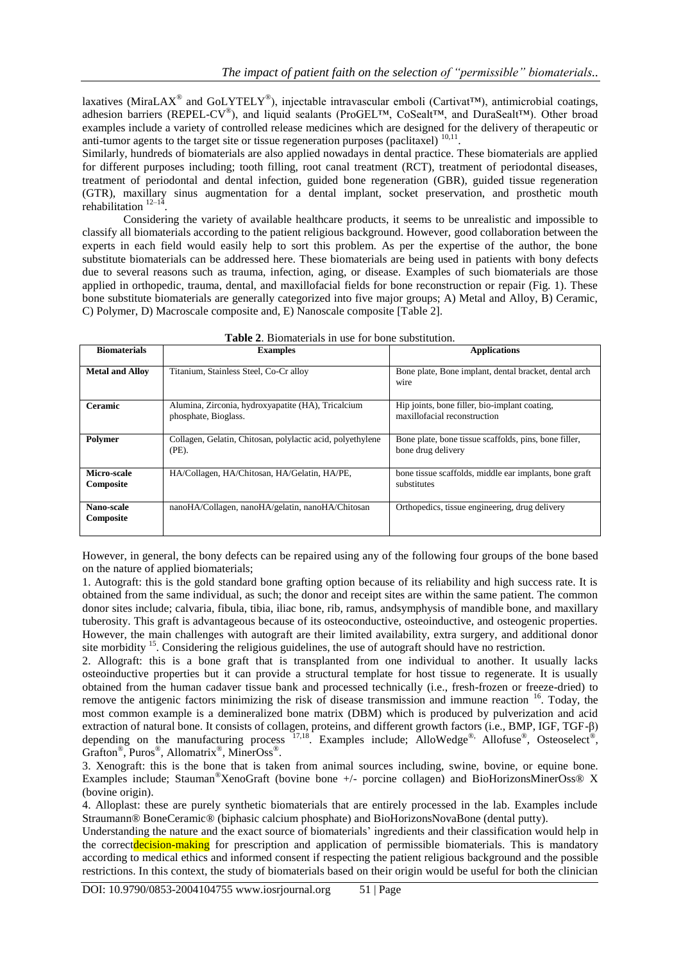laxatives (MiraLAX<sup>®</sup> and GoLYTELY<sup>®</sup>), injectable intravascular emboli (Cartivat<sup>TM</sup>), antimicrobial coatings, adhesion barriers (REPEL-CV®), and liquid sealants (ProGEL™, CoSealt™, and DuraSealt™). Other broad examples include a variety of controlled release medicines which are designed for the delivery of therapeutic or anti-tumor agents to the target site or tissue regeneration purposes (paclitaxel)  $10,11$ .

Similarly, hundreds of biomaterials are also applied nowadays in dental practice. These biomaterials are applied for different purposes including; tooth filling, root canal treatment (RCT), treatment of periodontal diseases, treatment of periodontal and dental infection, guided bone regeneration (GBR), guided tissue regeneration (GTR), maxillary sinus augmentation for a dental implant, socket preservation, and prosthetic mouth rehabilitation  $12-14$ .

Considering the variety of available healthcare products, it seems to be unrealistic and impossible to classify all biomaterials according to the patient religious background. However, good collaboration between the experts in each field would easily help to sort this problem. As per the expertise of the author, the bone substitute biomaterials can be addressed here. These biomaterials are being used in patients with bony defects due to several reasons such as trauma, infection, aging, or disease. Examples of such biomaterials are those applied in orthopedic, trauma, dental, and maxillofacial fields for bone reconstruction or repair (Fig. 1). These bone substitute biomaterials are generally categorized into five major groups; A) Metal and Alloy, B) Ceramic, C) Polymer, D) Macroscale composite and, E) Nanoscale composite [Table 2].

| <b>Biomaterials</b>      | <b>Examples</b>                                                            | <b>Applications</b>                                                           |
|--------------------------|----------------------------------------------------------------------------|-------------------------------------------------------------------------------|
| <b>Metal and Alloy</b>   | Titanium, Stainless Steel, Co-Cr alloy                                     | Bone plate, Bone implant, dental bracket, dental arch<br>wire                 |
| <b>Ceramic</b>           | Alumina, Zirconia, hydroxyapatite (HA), Tricalcium<br>phosphate, Bioglass. | Hip joints, bone filler, bio-implant coating,<br>maxillofacial reconstruction |
| Polymer                  | Collagen, Gelatin, Chitosan, polylactic acid, polyethylene<br>(PE).        | Bone plate, bone tissue scaffolds, pins, bone filler,<br>bone drug delivery   |
| Micro-scale<br>Composite | HA/Collagen, HA/Chitosan, HA/Gelatin, HA/PE,                               | bone tissue scaffolds, middle ear implants, bone graft<br>substitutes         |
| Nano-scale<br>Composite  | nanoHA/Collagen, nanoHA/gelatin, nanoHA/Chitosan                           | Orthopedics, tissue engineering, drug delivery                                |

|  | <b>Table 2.</b> Biomaterials in use for bone substitution. |  |  |  |  |  |
|--|------------------------------------------------------------|--|--|--|--|--|
|--|------------------------------------------------------------|--|--|--|--|--|

However, in general, the bony defects can be repaired using any of the following four groups of the bone based on the nature of applied biomaterials;

1. Autograft: this is the gold standard bone grafting option because of its reliability and high success rate. It is obtained from the same individual, as such; the donor and receipt sites are within the same patient. The common donor sites include; calvaria, fibula, tibia, iliac bone, rib, ramus, andsymphysis of mandible bone, and maxillary tuberosity. This graft is advantageous because of its osteoconductive, osteoinductive, and osteogenic properties. However, the main challenges with autograft are their limited availability, extra surgery, and additional donor site morbidity <sup>15</sup>. Considering the religious guidelines, the use of autograft should have no restriction.

2. Allograft: this is a bone graft that is transplanted from one individual to another. It usually lacks osteoinductive properties but it can provide a structural template for host tissue to regenerate. It is usually obtained from the human cadaver tissue bank and processed technically (i.e., fresh-frozen or freeze-dried) to remove the antigenic factors minimizing the risk of disease transmission and immune reaction <sup>16</sup>. Today, the most common example is a demineralized bone matrix (DBM) which is produced by pulverization and acid extraction of natural bone. It consists of collagen, proteins, and different growth factors (i.e., BMP, IGF, TGF-β) depending on the manufacturing process  $17,18$ . Examples include; AlloWedge<sup>®,</sup> Allofuse®, Osteoselect<sup>®</sup>, Grafton®, Puros®, Allomatrix®, MinerOss®.

3. Xenograft: this is the bone that is taken from animal sources including, swine, bovine, or equine bone. Examples include; Stauman®XenoGraft (bovine bone +/- porcine collagen) and BioHorizonsMinerOss® X (bovine origin).

4. Alloplast: these are purely synthetic biomaterials that are entirely processed in the lab. Examples include Straumann® BoneCeramic® (biphasic calcium phosphate) and BioHorizonsNovaBone (dental putty).

Understanding the nature and the exact source of biomaterials" ingredients and their classification would help in the correctdecision-making for prescription and application of permissible biomaterials. This is mandatory according to medical ethics and informed consent if respecting the patient religious background and the possible restrictions. In this context, the study of biomaterials based on their origin would be useful for both the clinician

DOI: 10.9790/0853-2004104755 www.iosrjournal.org 51 | Page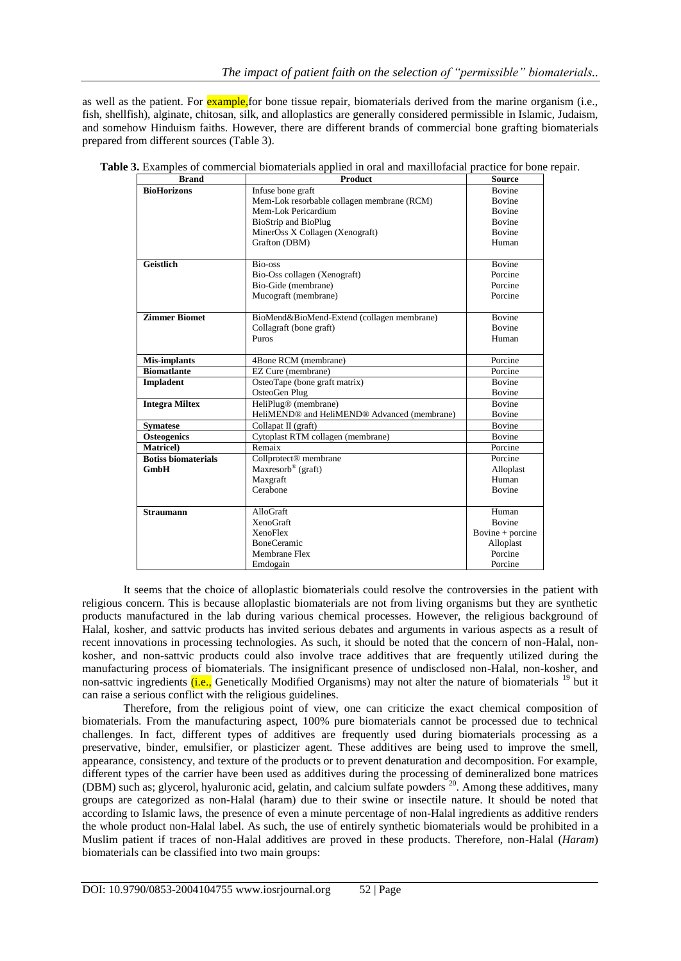as well as the patient. For **example,** for bone tissue repair, biomaterials derived from the marine organism (i.e., fish, shellfish), alginate, chitosan, silk, and alloplastics are generally considered permissible in Islamic, Judaism, and somehow Hinduism faiths. However, there are different brands of commercial bone grafting biomaterials prepared from different sources (Table 3).

| <b>Brand</b>               | <b>Product</b>                              | <b>Source</b>      |
|----------------------------|---------------------------------------------|--------------------|
| <b>BioHorizons</b>         | Infuse bone graft                           | <b>Bovine</b>      |
|                            | Mem-Lok resorbable collagen membrane (RCM)  | <b>Bovine</b>      |
|                            | Mem-Lok Pericardium                         | <b>Bovine</b>      |
|                            | <b>BioStrip and BioPlug</b>                 | <b>Bovine</b>      |
|                            | MinerOss X Collagen (Xenograft)             | <b>Bovine</b>      |
|                            | Grafton (DBM)                               | Human              |
| <b>Geistlich</b>           | Bio-oss                                     | <b>Bovine</b>      |
|                            | Bio-Oss collagen (Xenograft)                | Porcine            |
|                            | Bio-Gide (membrane)                         | Porcine            |
|                            | Mucograft (membrane)                        | Porcine            |
| <b>Zimmer Biomet</b>       | BioMend&BioMend-Extend (collagen membrane)  | <b>Bovine</b>      |
|                            | Collagraft (bone graft)                     | <b>Bovine</b>      |
|                            | Puros                                       | Human              |
| <b>Mis-implants</b>        | 4Bone RCM (membrane)                        | Porcine            |
| <b>Biomatlante</b>         | EZ Cure (membrane)                          | Porcine            |
| Impladent                  | OsteoTape (bone graft matrix)               | <b>Bovine</b>      |
|                            | OsteoGen Plug                               | Bovine             |
| <b>Integra Miltex</b>      | HeliPlug <sup>®</sup> (membrane)            | <b>Bovine</b>      |
|                            | HeliMEND® and HeliMEND® Advanced (membrane) | <b>Bovine</b>      |
| <b>Symatese</b>            | Collapat II (graft)                         | Bovine             |
| <b>Osteogenics</b>         | Cytoplast RTM collagen (membrane)           | <b>Bovine</b>      |
| <b>Matricel</b> )          | Remaix                                      | Porcine            |
| <b>Botiss biomaterials</b> | Collprotect <sup>®</sup> membrane           | Porcine            |
| GmbH                       | $Maxresorb^{\circledR}$ (graft)             | Alloplast          |
|                            | Maxgraft                                    | Human              |
|                            | Cerabone                                    | <b>Bovine</b>      |
| <b>Straumann</b>           | AlloGraft                                   | Human              |
|                            | <b>XenoGraft</b>                            | <b>Bovine</b>      |
|                            | <b>XenoFlex</b>                             | Bovine $+$ porcine |
|                            | <b>BoneCeramic</b>                          | Alloplast          |
|                            | Membrane Flex                               | Porcine            |
|                            | Emdogain                                    | Porcine            |

It seems that the choice of alloplastic biomaterials could resolve the controversies in the patient with religious concern. This is because alloplastic biomaterials are not from living organisms but they are synthetic products manufactured in the lab during various chemical processes. However, the religious background of Halal, kosher, and sattvic products has invited serious debates and arguments in various aspects as a result of recent innovations in processing technologies. As such, it should be noted that the concern of non-Halal, nonkosher, and non-sattvic products could also involve trace additives that are frequently utilized during the manufacturing process of biomaterials. The insignificant presence of undisclosed non-Halal, non-kosher, and non-sattvic ingredients (i.e., Genetically Modified Organisms) may not alter the nature of biomaterials <sup>19</sup> but it can raise a serious conflict with the religious guidelines.

Therefore, from the religious point of view, one can criticize the exact chemical composition of biomaterials. From the manufacturing aspect, 100% pure biomaterials cannot be processed due to technical challenges. In fact, different types of additives are frequently used during biomaterials processing as a preservative, binder, emulsifier, or plasticizer agent. These additives are being used to improve the smell, appearance, consistency, and texture of the products or to prevent denaturation and decomposition. For example, different types of the carrier have been used as additives during the processing of demineralized bone matrices (DBM) such as; glycerol, hyaluronic acid, gelatin, and calcium sulfate powders <sup>20</sup>. Among these additives, many groups are categorized as non-Halal (haram) due to their swine or insectile nature. It should be noted that according to Islamic laws, the presence of even a minute percentage of non-Halal ingredients as additive renders the whole product non-Halal label. As such, the use of entirely synthetic biomaterials would be prohibited in a Muslim patient if traces of non-Halal additives are proved in these products. Therefore, non-Halal (*Haram*) biomaterials can be classified into two main groups: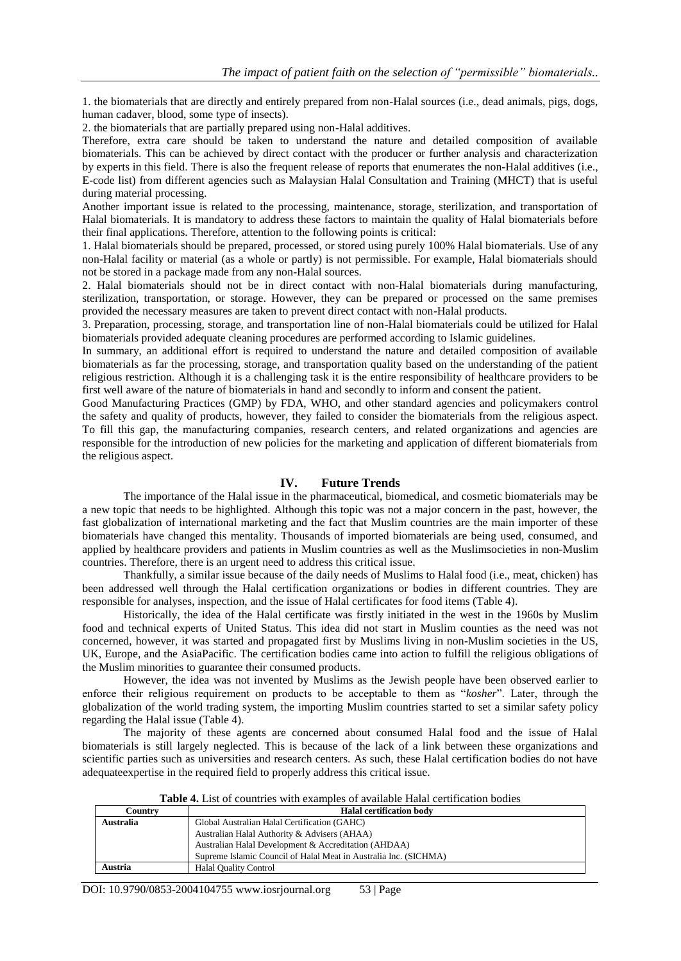1. the biomaterials that are directly and entirely prepared from non-Halal sources (i.e., dead animals, pigs, dogs, human cadaver, blood, some type of insects).

2. the biomaterials that are partially prepared using non-Halal additives.

Therefore, extra care should be taken to understand the nature and detailed composition of available biomaterials. This can be achieved by direct contact with the producer or further analysis and characterization by experts in this field. There is also the frequent release of reports that enumerates the non-Halal additives (i.e., E-code list) from different agencies such as Malaysian Halal Consultation and Training (MHCT) that is useful during material processing.

Another important issue is related to the processing, maintenance, storage, sterilization, and transportation of Halal biomaterials. It is mandatory to address these factors to maintain the quality of Halal biomaterials before their final applications. Therefore, attention to the following points is critical:

1. Halal biomaterials should be prepared, processed, or stored using purely 100% Halal biomaterials. Use of any non-Halal facility or material (as a whole or partly) is not permissible. For example, Halal biomaterials should not be stored in a package made from any non-Halal sources.

2. Halal biomaterials should not be in direct contact with non-Halal biomaterials during manufacturing, sterilization, transportation, or storage. However, they can be prepared or processed on the same premises provided the necessary measures are taken to prevent direct contact with non-Halal products.

3. Preparation, processing, storage, and transportation line of non-Halal biomaterials could be utilized for Halal biomaterials provided adequate cleaning procedures are performed according to Islamic guidelines.

In summary, an additional effort is required to understand the nature and detailed composition of available biomaterials as far the processing, storage, and transportation quality based on the understanding of the patient religious restriction. Although it is a challenging task it is the entire responsibility of healthcare providers to be first well aware of the nature of biomaterials in hand and secondly to inform and consent the patient.

Good Manufacturing Practices (GMP) by FDA, WHO, and other standard agencies and policymakers control the safety and quality of products, however, they failed to consider the biomaterials from the religious aspect. To fill this gap, the manufacturing companies, research centers, and related organizations and agencies are responsible for the introduction of new policies for the marketing and application of different biomaterials from the religious aspect.

# **IV. Future Trends**

The importance of the Halal issue in the pharmaceutical, biomedical, and cosmetic biomaterials may be a new topic that needs to be highlighted. Although this topic was not a major concern in the past, however, the fast globalization of international marketing and the fact that Muslim countries are the main importer of these biomaterials have changed this mentality. Thousands of imported biomaterials are being used, consumed, and applied by healthcare providers and patients in Muslim countries as well as the Muslimsocieties in non-Muslim countries. Therefore, there is an urgent need to address this critical issue.

Thankfully, a similar issue because of the daily needs of Muslims to Halal food (i.e., meat, chicken) has been addressed well through the Halal certification organizations or bodies in different countries. They are responsible for analyses, inspection, and the issue of Halal certificates for food items (Table 4).

Historically, the idea of the Halal certificate was firstly initiated in the west in the 1960s by Muslim food and technical experts of United Status. This idea did not start in Muslim counties as the need was not concerned, however, it was started and propagated first by Muslims living in non-Muslim societies in the US, UK, Europe, and the AsiaPacific. The certification bodies came into action to fulfill the religious obligations of the Muslim minorities to guarantee their consumed products.

However, the idea was not invented by Muslims as the Jewish people have been observed earlier to enforce their religious requirement on products to be acceptable to them as "*kosher*". Later, through the globalization of the world trading system, the importing Muslim countries started to set a similar safety policy regarding the Halal issue (Table 4).

The majority of these agents are concerned about consumed Halal food and the issue of Halal biomaterials is still largely neglected. This is because of the lack of a link between these organizations and scientific parties such as universities and research centers. As such, these Halal certification bodies do not have adequateexpertise in the required field to properly address this critical issue.

| <b>Halal certification body</b>                                  |
|------------------------------------------------------------------|
| Global Australian Halal Certification (GAHC)                     |
| Australian Halal Authority & Advisers (AHAA)                     |
| Australian Halal Development & Accreditation (AHDAA)             |
| Supreme Islamic Council of Halal Meat in Australia Inc. (SICHMA) |
| <b>Halal Quality Control</b>                                     |
|                                                                  |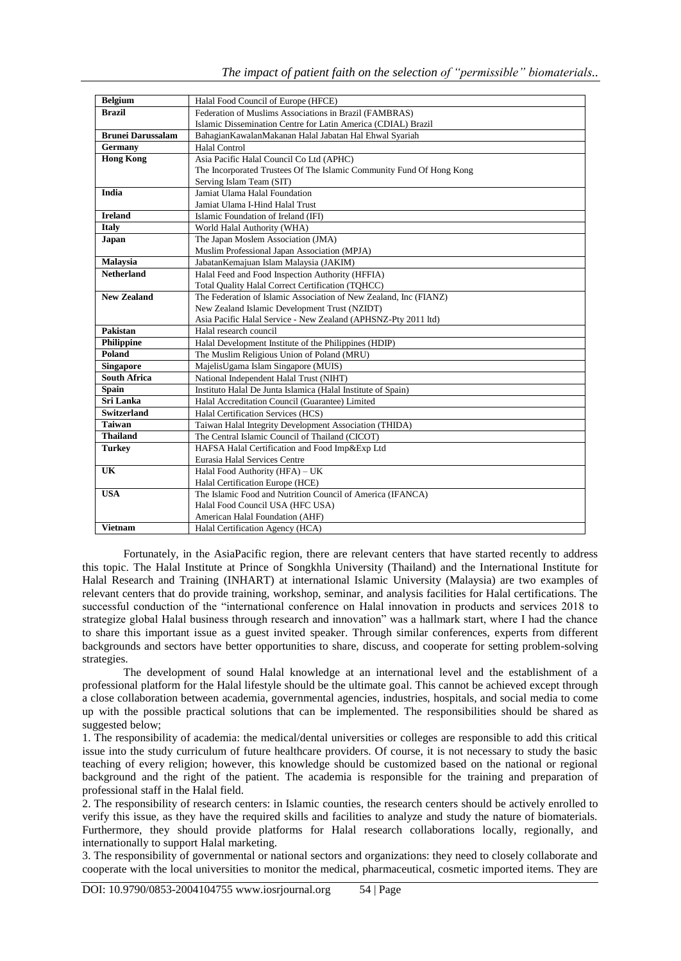| <b>Belgium</b>           | Halal Food Council of Europe (HFCE)                                  |
|--------------------------|----------------------------------------------------------------------|
| <b>Brazil</b>            | Federation of Muslims Associations in Brazil (FAMBRAS)               |
|                          | Islamic Dissemination Centre for Latin America (CDIAL) Brazil        |
| <b>Brunei Darussalam</b> | Bahagian Kawalan Makanan Halal Jabatan Hal Ehwal Syariah             |
| Germany                  | <b>Halal Control</b>                                                 |
| <b>Hong Kong</b>         | Asia Pacific Halal Council Co Ltd (APHC)                             |
|                          | The Incorporated Trustees Of The Islamic Community Fund Of Hong Kong |
|                          | Serving Islam Team (SIT)                                             |
| <b>India</b>             | Jamiat Ulama Halal Foundation                                        |
|                          | Jamiat Ulama I-Hind Halal Trust                                      |
| <b>Ireland</b>           | Islamic Foundation of Ireland (IFI)                                  |
| <b>Italy</b>             | World Halal Authority (WHA)                                          |
| Japan                    | The Japan Moslem Association (JMA)                                   |
|                          | Muslim Professional Japan Association (MPJA)                         |
| Malaysia                 | Jabatan Kemajuan Islam Malaysia (JAKIM)                              |
| <b>Netherland</b>        | Halal Feed and Food Inspection Authority (HFFIA)                     |
|                          | Total Quality Halal Correct Certification (TOHCC)                    |
| <b>New Zealand</b>       | The Federation of Islamic Association of New Zealand, Inc (FIANZ)    |
|                          | New Zealand Islamic Development Trust (NZIDT)                        |
|                          | Asia Pacific Halal Service - New Zealand (APHSNZ-Pty 2011 ltd)       |
| Pakistan                 | Halal research council                                               |
| <b>Philippine</b>        | Halal Development Institute of the Philippines (HDIP)                |
| Poland                   | The Muslim Religious Union of Poland (MRU)                           |
| <b>Singapore</b>         | MajelisUgama Islam Singapore (MUIS)                                  |
| <b>South Africa</b>      | National Independent Halal Trust (NIHT)                              |
| <b>Spain</b>             | Instituto Halal De Junta Islamica (Halal Institute of Spain)         |
| Sri Lanka                | Halal Accreditation Council (Guarantee) Limited                      |
| <b>Switzerland</b>       | Halal Certification Services (HCS)                                   |
| <b>Taiwan</b>            | Taiwan Halal Integrity Development Association (THIDA)               |
| <b>Thailand</b>          | The Central Islamic Council of Thailand (CICOT)                      |
| <b>Turkey</b>            | HAFSA Halal Certification and Food Imp&Exp Ltd                       |
|                          | Eurasia Halal Services Centre                                        |
| UK                       | Halal Food Authority (HFA) - UK                                      |
|                          | Halal Certification Europe (HCE)                                     |
| <b>USA</b>               | The Islamic Food and Nutrition Council of America (IFANCA)           |
|                          | Halal Food Council USA (HFC USA)                                     |
|                          | American Halal Foundation (AHF)                                      |
| <b>Vietnam</b>           | Halal Certification Agency (HCA)                                     |

Fortunately, in the AsiaPacific region, there are relevant centers that have started recently to address this topic. The Halal Institute at Prince of Songkhla University (Thailand) and the International Institute for Halal Research and Training (INHART) at international Islamic University (Malaysia) are two examples of relevant centers that do provide training, workshop, seminar, and analysis facilities for Halal certifications. The successful conduction of the "international conference on Halal innovation in products and services 2018 to strategize global Halal business through research and innovation" was a hallmark start, where I had the chance to share this important issue as a guest invited speaker. Through similar conferences, experts from different backgrounds and sectors have better opportunities to share, discuss, and cooperate for setting problem-solving strategies.

The development of sound Halal knowledge at an international level and the establishment of a professional platform for the Halal lifestyle should be the ultimate goal. This cannot be achieved except through a close collaboration between academia, governmental agencies, industries, hospitals, and social media to come up with the possible practical solutions that can be implemented. The responsibilities should be shared as suggested below;

1. The responsibility of academia: the medical/dental universities or colleges are responsible to add this critical issue into the study curriculum of future healthcare providers. Of course, it is not necessary to study the basic teaching of every religion; however, this knowledge should be customized based on the national or regional background and the right of the patient. The academia is responsible for the training and preparation of professional staff in the Halal field.

2. The responsibility of research centers: in Islamic counties, the research centers should be actively enrolled to verify this issue, as they have the required skills and facilities to analyze and study the nature of biomaterials. Furthermore, they should provide platforms for Halal research collaborations locally, regionally, and internationally to support Halal marketing.

3. The responsibility of governmental or national sectors and organizations: they need to closely collaborate and cooperate with the local universities to monitor the medical, pharmaceutical, cosmetic imported items. They are